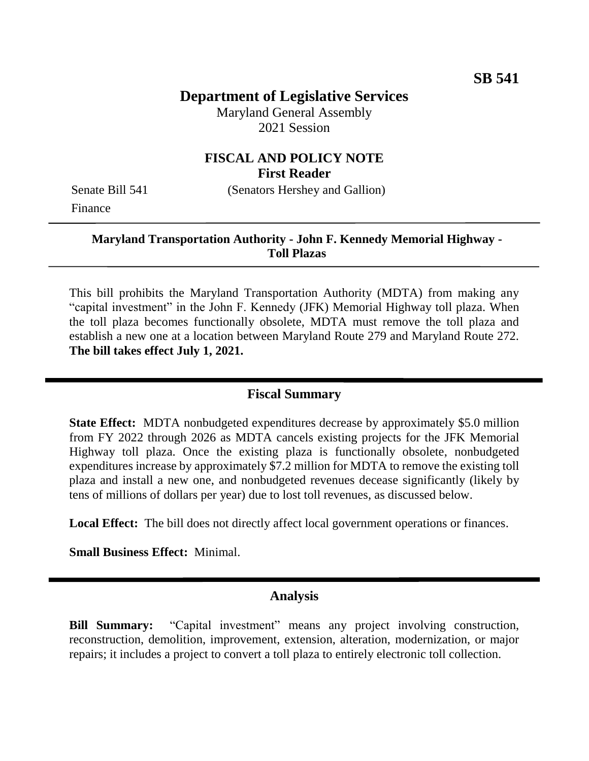# **Department of Legislative Services**

Maryland General Assembly 2021 Session

# **FISCAL AND POLICY NOTE First Reader**

Finance

Senate Bill 541 (Senators Hershey and Gallion)

#### **Maryland Transportation Authority - John F. Kennedy Memorial Highway - Toll Plazas**

This bill prohibits the Maryland Transportation Authority (MDTA) from making any "capital investment" in the John F. Kennedy (JFK) Memorial Highway toll plaza. When the toll plaza becomes functionally obsolete, MDTA must remove the toll plaza and establish a new one at a location between Maryland Route 279 and Maryland Route 272. **The bill takes effect July 1, 2021.**

### **Fiscal Summary**

**State Effect:** MDTA nonbudgeted expenditures decrease by approximately \$5.0 million from FY 2022 through 2026 as MDTA cancels existing projects for the JFK Memorial Highway toll plaza. Once the existing plaza is functionally obsolete, nonbudgeted expenditures increase by approximately \$7.2 million for MDTA to remove the existing toll plaza and install a new one, and nonbudgeted revenues decease significantly (likely by tens of millions of dollars per year) due to lost toll revenues, as discussed below.

Local Effect: The bill does not directly affect local government operations or finances.

**Small Business Effect:** Minimal.

### **Analysis**

**Bill Summary:** "Capital investment" means any project involving construction, reconstruction, demolition, improvement, extension, alteration, modernization, or major repairs; it includes a project to convert a toll plaza to entirely electronic toll collection.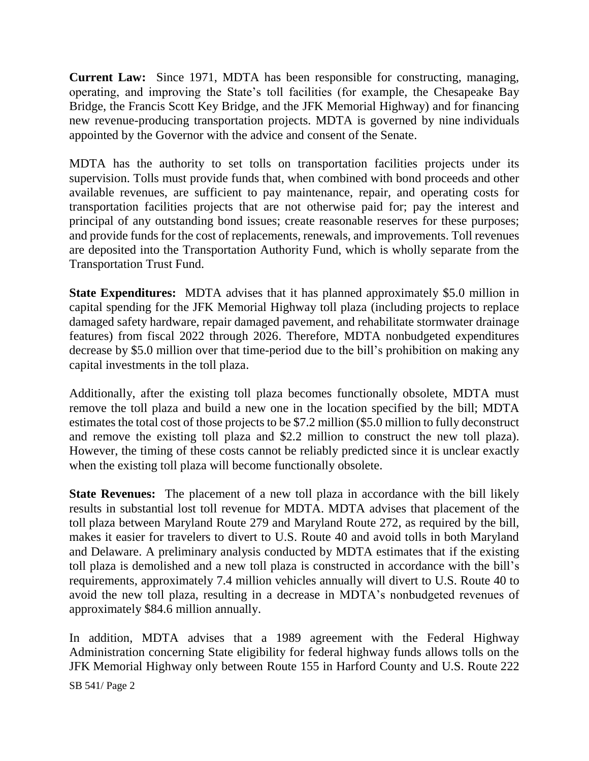**Current Law:** Since 1971, MDTA has been responsible for constructing, managing, operating, and improving the State's toll facilities (for example, the Chesapeake Bay Bridge, the Francis Scott Key Bridge, and the JFK Memorial Highway) and for financing new revenue-producing transportation projects. MDTA is governed by nine individuals appointed by the Governor with the advice and consent of the Senate.

MDTA has the authority to set tolls on transportation facilities projects under its supervision. Tolls must provide funds that, when combined with bond proceeds and other available revenues, are sufficient to pay maintenance, repair, and operating costs for transportation facilities projects that are not otherwise paid for; pay the interest and principal of any outstanding bond issues; create reasonable reserves for these purposes; and provide funds for the cost of replacements, renewals, and improvements. Toll revenues are deposited into the Transportation Authority Fund, which is wholly separate from the Transportation Trust Fund.

**State Expenditures:** MDTA advises that it has planned approximately \$5.0 million in capital spending for the JFK Memorial Highway toll plaza (including projects to replace damaged safety hardware, repair damaged pavement, and rehabilitate stormwater drainage features) from fiscal 2022 through 2026. Therefore, MDTA nonbudgeted expenditures decrease by \$5.0 million over that time-period due to the bill's prohibition on making any capital investments in the toll plaza.

Additionally, after the existing toll plaza becomes functionally obsolete, MDTA must remove the toll plaza and build a new one in the location specified by the bill; MDTA estimates the total cost of those projects to be \$7.2 million (\$5.0 million to fully deconstruct and remove the existing toll plaza and \$2.2 million to construct the new toll plaza). However, the timing of these costs cannot be reliably predicted since it is unclear exactly when the existing toll plaza will become functionally obsolete.

**State Revenues:** The placement of a new toll plaza in accordance with the bill likely results in substantial lost toll revenue for MDTA. MDTA advises that placement of the toll plaza between Maryland Route 279 and Maryland Route 272, as required by the bill, makes it easier for travelers to divert to U.S. Route 40 and avoid tolls in both Maryland and Delaware. A preliminary analysis conducted by MDTA estimates that if the existing toll plaza is demolished and a new toll plaza is constructed in accordance with the bill's requirements, approximately 7.4 million vehicles annually will divert to U.S. Route 40 to avoid the new toll plaza, resulting in a decrease in MDTA's nonbudgeted revenues of approximately \$84.6 million annually.

In addition, MDTA advises that a 1989 agreement with the Federal Highway Administration concerning State eligibility for federal highway funds allows tolls on the JFK Memorial Highway only between Route 155 in Harford County and U.S. Route 222